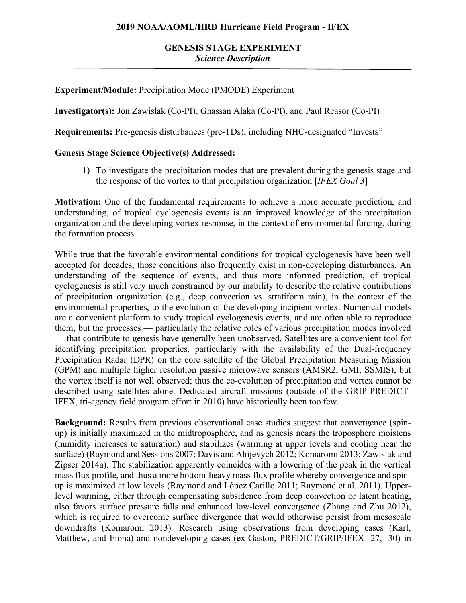# **GENESIS STAGE EXPERIMENT** *Science Description*

## **Experiment/Module:** Precipitation Mode (PMODE) Experiment

**Investigator(s):** Jon Zawislak (Co-PI), Ghassan Alaka (Co-PI), and Paul Reasor (Co-PI)

**Requirements:** Pre-genesis disturbances (pre-TDs), including NHC-designated "Invests"

#### **Genesis Stage Science Objective(s) Addressed:**

1) To investigate the precipitation modes that are prevalent during the genesis stage and the response of the vortex to that precipitation organization [*IFEX Goal 3*]

**Motivation:** One of the fundamental requirements to achieve a more accurate prediction, and understanding, of tropical cyclogenesis events is an improved knowledge of the precipitation organization and the developing vortex response, in the context of environmental forcing, during the formation process.

While true that the favorable environmental conditions for tropical cyclogenesis have been well accepted for decades, those conditions also frequently exist in non-developing disturbances. An understanding of the sequence of events, and thus more informed prediction, of tropical cyclogenesis is still very much constrained by our inability to describe the relative contributions of precipitation organization (e.g., deep convection vs. stratiform rain), in the context of the environmental properties, to the evolution of the developing incipient vortex. Numerical models are a convenient platform to study tropical cyclogenesis events, and are often able to reproduce them, but the processes — particularly the relative roles of various precipitation modes involved — that contribute to genesis have generally been unobserved. Satellites are a convenient tool for identifying precipitation properties, particularly with the availability of the Dual-frequency Precipitation Radar (DPR) on the core satellite of the Global Precipitation Measuring Mission (GPM) and multiple higher resolution passive microwave sensors (AMSR2, GMI, SSMIS), but the vortex itself is not well observed; thus the co-evolution of precipitation and vortex cannot be described using satellites alone. Dedicated aircraft missions (outside of the GRIP-PREDICT-IFEX, tri-agency field program effort in 2010) have historically been too few.

**Background:** Results from previous observational case studies suggest that convergence (spinup) is initially maximized in the midtroposphere, and as genesis nears the troposphere moistens (humidity increases to saturation) and stabilizes (warming at upper levels and cooling near the surface) (Raymond and Sessions 2007; Davis and Ahijevych 2012; Komaromi 2013; Zawislak and Zipser 2014a). The stabilization apparently coincides with a lowering of the peak in the vertical mass flux profile, and thus a more bottom-heavy mass flux profile whereby convergence and spinup is maximized at low levels (Raymond and López Carillo 2011; Raymond et al. 2011). Upperlevel warming, either through compensating subsidence from deep convection or latent heating, also favors surface pressure falls and enhanced low-level convergence (Zhang and Zhu 2012), which is required to overcome surface divergence that would otherwise persist from mesoscale downdrafts (Komaromi 2013). Research using observations from developing cases (Karl, Matthew, and Fiona) and nondeveloping cases (ex-Gaston, PREDICT/GRIP/IFEX -27, -30) in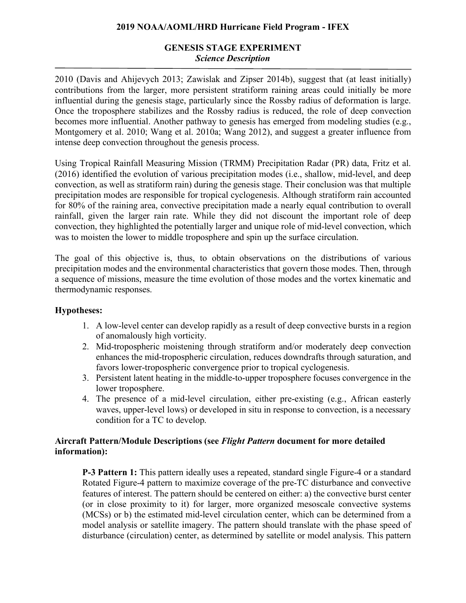## **2019 NOAA/AOML/HRD Hurricane Field Program - IFEX**

# **GENESIS STAGE EXPERIMENT** *Science Description*

2010 (Davis and Ahijevych 2013; Zawislak and Zipser 2014b), suggest that (at least initially) contributions from the larger, more persistent stratiform raining areas could initially be more influential during the genesis stage, particularly since the Rossby radius of deformation is large. Once the troposphere stabilizes and the Rossby radius is reduced, the role of deep convection becomes more influential. Another pathway to genesis has emerged from modeling studies (e.g., Montgomery et al. 2010; Wang et al. 2010a; Wang 2012), and suggest a greater influence from intense deep convection throughout the genesis process.

Using Tropical Rainfall Measuring Mission (TRMM) Precipitation Radar (PR) data, Fritz et al. (2016) identified the evolution of various precipitation modes (i.e., shallow, mid-level, and deep convection, as well as stratiform rain) during the genesis stage. Their conclusion was that multiple precipitation modes are responsible for tropical cyclogenesis. Although stratiform rain accounted for 80% of the raining area, convective precipitation made a nearly equal contribution to overall rainfall, given the larger rain rate. While they did not discount the important role of deep convection, they highlighted the potentially larger and unique role of mid-level convection, which was to moisten the lower to middle troposphere and spin up the surface circulation.

The goal of this objective is, thus, to obtain observations on the distributions of various precipitation modes and the environmental characteristics that govern those modes. Then, through a sequence of missions, measure the time evolution of those modes and the vortex kinematic and thermodynamic responses.

# **Hypotheses:**

- 1. A low-level center can develop rapidly as a result of deep convective bursts in a region of anomalously high vorticity.
- 2. Mid-tropospheric moistening through stratiform and/or moderately deep convection enhances the mid-tropospheric circulation, reduces downdrafts through saturation, and favors lower-tropospheric convergence prior to tropical cyclogenesis.
- 3. Persistent latent heating in the middle-to-upper troposphere focuses convergence in the lower troposphere.
- 4. The presence of a mid-level circulation, either pre-existing (e.g., African easterly waves, upper-level lows) or developed in situ in response to convection, is a necessary condition for a TC to develop.

## **Aircraft Pattern/Module Descriptions (see** *Flight Pattern* **document for more detailed information):**

**P-3 Pattern 1:** This pattern ideally uses a repeated, standard single Figure-4 or a standard Rotated Figure-4 pattern to maximize coverage of the pre-TC disturbance and convective features of interest. The pattern should be centered on either: a) the convective burst center (or in close proximity to it) for larger, more organized mesoscale convective systems (MCSs) or b) the estimated mid-level circulation center, which can be determined from a model analysis or satellite imagery. The pattern should translate with the phase speed of disturbance (circulation) center, as determined by satellite or model analysis. This pattern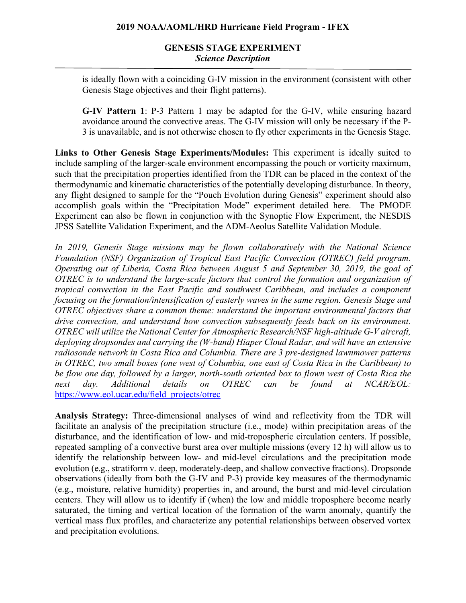# **GENESIS STAGE EXPERIMENT** *Science Description*

is ideally flown with a coinciding G-IV mission in the environment (consistent with other Genesis Stage objectives and their flight patterns).

**G-IV Pattern 1**: P-3 Pattern 1 may be adapted for the G-IV, while ensuring hazard avoidance around the convective areas. The G-IV mission will only be necessary if the P-3 is unavailable, and is not otherwise chosen to fly other experiments in the Genesis Stage.

**Links to Other Genesis Stage Experiments/Modules:** This experiment is ideally suited to include sampling of the larger-scale environment encompassing the pouch or vorticity maximum, such that the precipitation properties identified from the TDR can be placed in the context of the thermodynamic and kinematic characteristics of the potentially developing disturbance. In theory, any flight designed to sample for the "Pouch Evolution during Genesis" experiment should also accomplish goals within the "Precipitation Mode" experiment detailed here. The PMODE Experiment can also be flown in conjunction with the Synoptic Flow Experiment, the NESDIS JPSS Satellite Validation Experiment, and the ADM-Aeolus Satellite Validation Module.

*In 2019, Genesis Stage missions may be flown collaboratively with the National Science Foundation (NSF) Organization of Tropical East Pacific Convection (OTREC) field program. Operating out of Liberia, Costa Rica between August 5 and September 30, 2019, the goal of OTREC is to understand the large-scale factors that control the formation and organization of tropical convection in the East Pacific and southwest Caribbean, and includes a component focusing on the formation/intensification of easterly waves in the same region. Genesis Stage and OTREC objectives share a common theme: understand the important environmental factors that drive convection, and understand how convection subsequently feeds back on its environment. OTREC will utilize the National Center for Atmospheric Research/NSF high-altitude G-V aircraft, deploying dropsondes and carrying the (W-band) Hiaper Cloud Radar, and will have an extensive radiosonde network in Costa Rica and Columbia. There are 3 pre-designed lawnmower patterns in OTREC, two small boxes (one west of Columbia, one east of Costa Rica in the Caribbean) to be flow one day, followed by a larger, north-south oriented box to flown west of Costa Rica the next day. Additional details on OTREC can be found at NCAR/EOL:*  https://www.eol.ucar.edu/field\_projects/otrec

**Analysis Strategy:** Three-dimensional analyses of wind and reflectivity from the TDR will facilitate an analysis of the precipitation structure (i.e., mode) within precipitation areas of the disturbance, and the identification of low- and mid-tropospheric circulation centers. If possible, repeated sampling of a convective burst area over multiple missions (every 12 h) will allow us to identify the relationship between low- and mid-level circulations and the precipitation mode evolution (e.g., stratiform v. deep, moderately-deep, and shallow convective fractions). Dropsonde observations (ideally from both the G-IV and P-3) provide key measures of the thermodynamic (e.g., moisture, relative humidity) properties in, and around, the burst and mid-level circulation centers. They will allow us to identify if (when) the low and middle troposphere become nearly saturated, the timing and vertical location of the formation of the warm anomaly, quantify the vertical mass flux profiles, and characterize any potential relationships between observed vortex and precipitation evolutions.